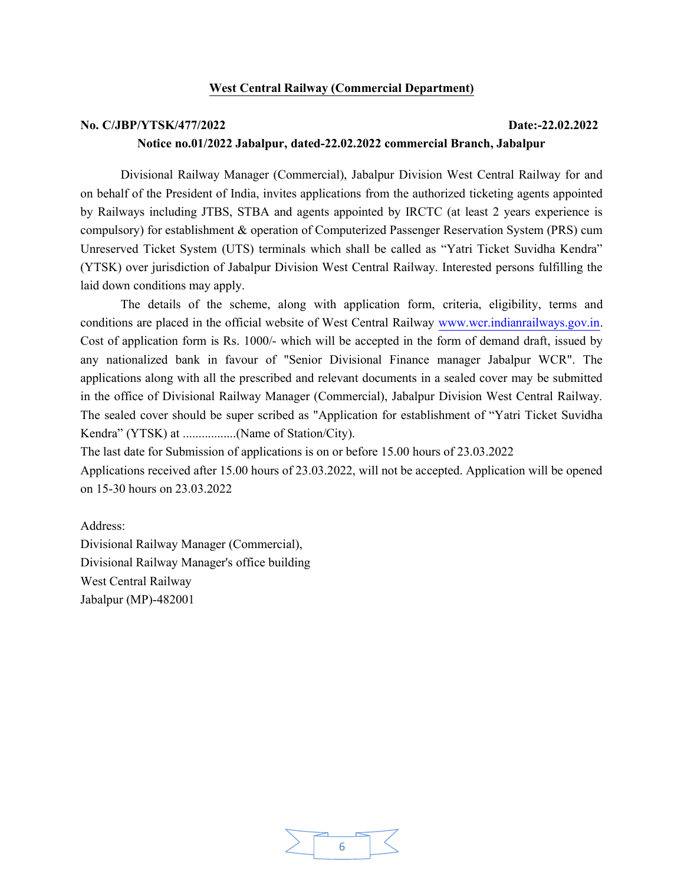#### West Central Railway (Commercial Department)

#### No. C/JBP/YTSK/477/2022 Date:-22.02.2022

#### Notice no.01/2022 Jabalpur, dated-22.02.2022 commercial Branch, Jabalpur

Divisional Railway Manager (Commercial), Jabalpur Division West Central Railway for and on behalf of the President of India, invites applications from the authorized ticketing agents appointed by Railways including JTBS, STBA and agents appointed by IRCTC (at least 2 years experience is compulsory) for establishment & operation of Computerized Passenger Reservation System (PRS) cum Unreserved Ticket System (UTS) terminals which shall be called as "Yatri Ticket Suvidha Kendra" (YTSK) over jurisdiction of Jabalpur Division West Central Railway. Interested persons fulfilling the laid down conditions may apply.

The details of the scheme, along with application form, criteria, eligibility, terms and conditions are placed in the official website of West Central Railway www.wcr.indianrailways.gov.in. Cost of application form is Rs. 1000/- which will be accepted in the form of demand draft, issued by any nationalized bank in favour of "Senior Divisional Finance manager Jabalpur WCR". The applications along with all the prescribed and relevant documents in a sealed cover may be submitted in the office of Divisional Railway Manager (Commercial), Jabalpur Division West Central Railway. The sealed cover should be super scribed as "Application for establishment of "Yatri Ticket Suvidha Kendra" (YTSK) at .................(Name of Station/City).

The last date for Submission of applications is on or before 15.00 hours of 23.03.2022

Applications received after 15.00 hours of 23.03.2022, will not be accepted. Application will be opened on 15-30 hours on 23.03.2022

Address: Divisional Railway Manager (Commercial), Divisional Railway Manager's office building West Central Railway Jabalpur (MP)-482001

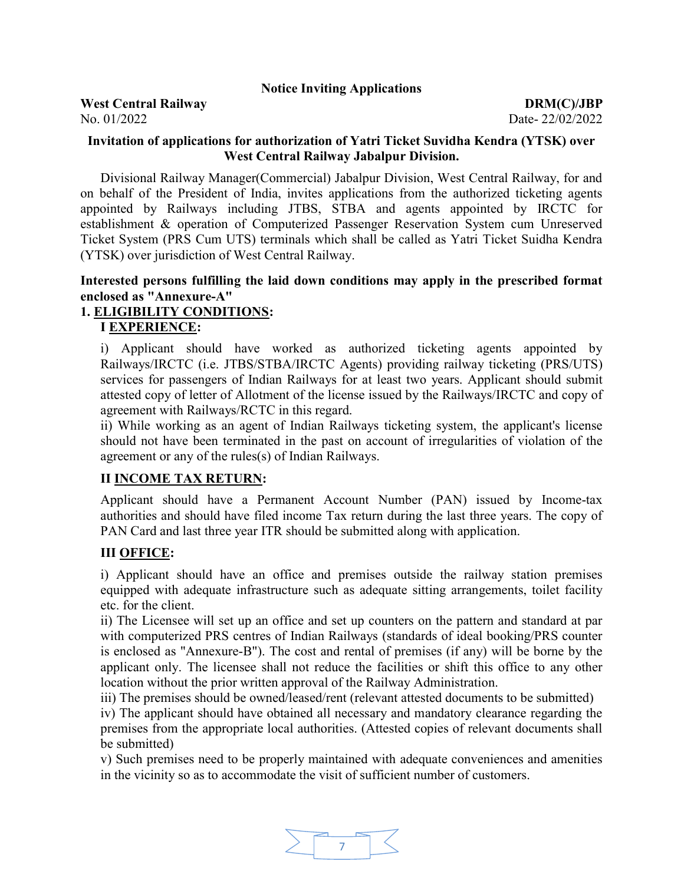#### Notice Inviting Applications

#### West Central Railway DRM(C)/JBP No. 01/2022 Date- 22/02/2022

#### Invitation of applications for authorization of Yatri Ticket Suvidha Kendra (YTSK) over West Central Railway Jabalpur Division.

Divisional Railway Manager(Commercial) Jabalpur Division, West Central Railway, for and on behalf of the President of India, invites applications from the authorized ticketing agents appointed by Railways including JTBS, STBA and agents appointed by IRCTC for establishment & operation of Computerized Passenger Reservation System cum Unreserved Ticket System (PRS Cum UTS) terminals which shall be called as Yatri Ticket Suidha Kendra (YTSK) over jurisdiction of West Central Railway.

#### Interested persons fulfilling the laid down conditions may apply in the prescribed format enclosed as "Annexure-A"

#### 1. ELIGIBILITY CONDITIONS:

#### I EXPERIENCE:

i) Applicant should have worked as authorized ticketing agents appointed by Railways/IRCTC (i.e. JTBS/STBA/IRCTC Agents) providing railway ticketing (PRS/UTS) services for passengers of Indian Railways for at least two years. Applicant should submit attested copy of letter of Allotment of the license issued by the Railways/IRCTC and copy of agreement with Railways/RCTC in this regard.

ii) While working as an agent of Indian Railways ticketing system, the applicant's license should not have been terminated in the past on account of irregularities of violation of the agreement or any of the rules(s) of Indian Railways.

#### II INCOME TAX RETURN:

Applicant should have a Permanent Account Number (PAN) issued by Income-tax authorities and should have filed income Tax return during the last three years. The copy of PAN Card and last three year ITR should be submitted along with application.

#### III OFFICE:

i) Applicant should have an office and premises outside the railway station premises equipped with adequate infrastructure such as adequate sitting arrangements, toilet facility etc. for the client.

ii) The Licensee will set up an office and set up counters on the pattern and standard at par with computerized PRS centres of Indian Railways (standards of ideal booking/PRS counter is enclosed as "Annexure-B"). The cost and rental of premises (if any) will be borne by the applicant only. The licensee shall not reduce the facilities or shift this office to any other location without the prior written approval of the Railway Administration.

iii) The premises should be owned/leased/rent (relevant attested documents to be submitted)

iv) The applicant should have obtained all necessary and mandatory clearance regarding the premises from the appropriate local authorities. (Attested copies of relevant documents shall be submitted)

v) Such premises need to be properly maintained with adequate conveniences and amenities in the vicinity so as to accommodate the visit of sufficient number of customers.

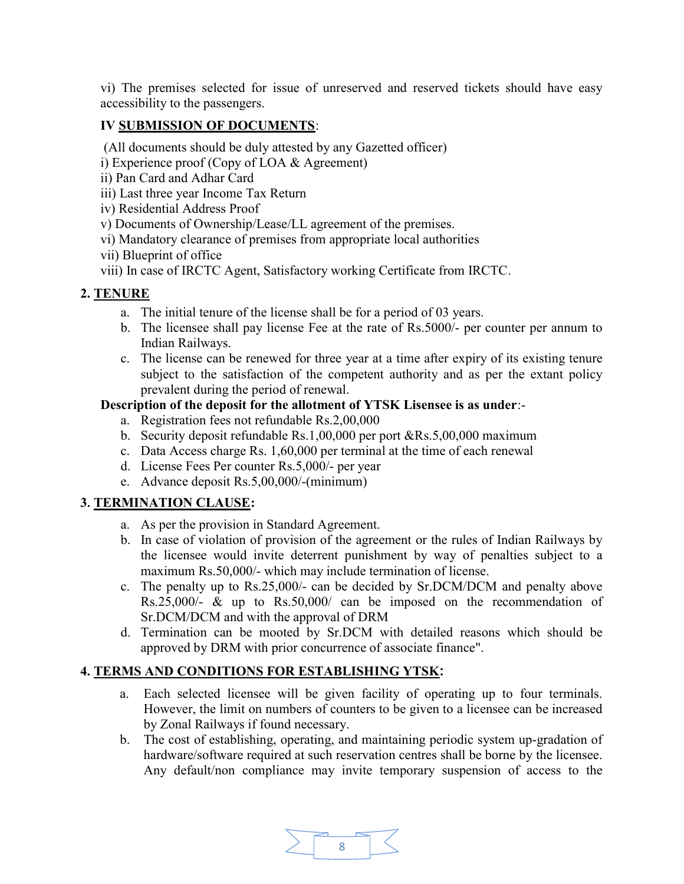vi) The premises selected for issue of unreserved and reserved tickets should have easy accessibility to the passengers.

## IV SUBMISSION OF DOCUMENTS:

(All documents should be duly attested by any Gazetted officer)

- i) Experience proof (Copy of LOA & Agreement)
- ii) Pan Card and Adhar Card
- iii) Last three year Income Tax Return
- iv) Residential Address Proof
- v) Documents of Ownership/Lease/LL agreement of the premises.
- vi) Mandatory clearance of premises from appropriate local authorities
- vii) Blueprint of office
- viii) In case of IRCTC Agent, Satisfactory working Certificate from IRCTC.

## 2. TENURE

- a. The initial tenure of the license shall be for a period of 03 years.
- b. The licensee shall pay license Fee at the rate of Rs.5000/- per counter per annum to Indian Railways.
- c. The license can be renewed for three year at a time after expiry of its existing tenure subject to the satisfaction of the competent authority and as per the extant policy prevalent during the period of renewal.

#### Description of the deposit for the allotment of YTSK Lisensee is as under:-

- a. Registration fees not refundable Rs.2,00,000
- b. Security deposit refundable Rs.1,00,000 per port &Rs.5,00,000 maximum
- c. Data Access charge Rs. 1,60,000 per terminal at the time of each renewal
- d. License Fees Per counter Rs.5,000/- per year
- e. Advance deposit Rs.5,00,000/-(minimum)

#### 3. TERMINATION CLAUSE:

- a. As per the provision in Standard Agreement.
- b. In case of violation of provision of the agreement or the rules of Indian Railways by the licensee would invite deterrent punishment by way of penalties subject to a maximum Rs.50,000/- which may include termination of license.
- c. The penalty up to Rs.25,000/- can be decided by Sr.DCM/DCM and penalty above Rs.25,000/- & up to Rs.50,000/ can be imposed on the recommendation of Sr.DCM/DCM and with the approval of DRM
- d. Termination can be mooted by Sr.DCM with detailed reasons which should be approved by DRM with prior concurrence of associate finance".

#### 4. TERMS AND CONDITIONS FOR ESTABLISHING YTSK:

- a. Each selected licensee will be given facility of operating up to four terminals. However, the limit on numbers of counters to be given to a licensee can be increased by Zonal Railways if found necessary.
- b. The cost of establishing, operating, and maintaining periodic system up-gradation of hardware/software required at such reservation centres shall be borne by the licensee. Any default/non compliance may invite temporary suspension of access to the

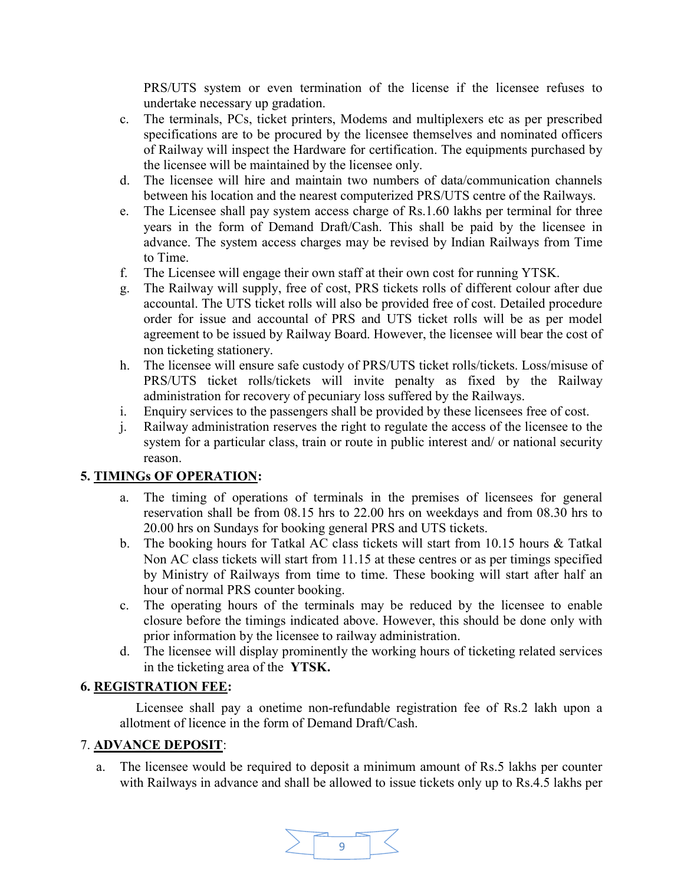PRS/UTS system or even termination of the license if the licensee refuses to undertake necessary up gradation.

- c. The terminals, PCs, ticket printers, Modems and multiplexers etc as per prescribed specifications are to be procured by the licensee themselves and nominated officers of Railway will inspect the Hardware for certification. The equipments purchased by the licensee will be maintained by the licensee only.
- d. The licensee will hire and maintain two numbers of data/communication channels between his location and the nearest computerized PRS/UTS centre of the Railways.
- e. The Licensee shall pay system access charge of Rs.1.60 lakhs per terminal for three years in the form of Demand Draft/Cash. This shall be paid by the licensee in advance. The system access charges may be revised by Indian Railways from Time to Time.
- f. The Licensee will engage their own staff at their own cost for running YTSK.
- g. The Railway will supply, free of cost, PRS tickets rolls of different colour after due accountal. The UTS ticket rolls will also be provided free of cost. Detailed procedure order for issue and accountal of PRS and UTS ticket rolls will be as per model agreement to be issued by Railway Board. However, the licensee will bear the cost of non ticketing stationery.
- h. The licensee will ensure safe custody of PRS/UTS ticket rolls/tickets. Loss/misuse of PRS/UTS ticket rolls/tickets will invite penalty as fixed by the Railway administration for recovery of pecuniary loss suffered by the Railways.
- i. Enquiry services to the passengers shall be provided by these licensees free of cost.
- j. Railway administration reserves the right to regulate the access of the licensee to the system for a particular class, train or route in public interest and/ or national security reason.

#### 5. TIMINGs OF OPERATION:

- a. The timing of operations of terminals in the premises of licensees for general reservation shall be from 08.15 hrs to 22.00 hrs on weekdays and from 08.30 hrs to 20.00 hrs on Sundays for booking general PRS and UTS tickets.
- b. The booking hours for Tatkal AC class tickets will start from 10.15 hours & Tatkal Non AC class tickets will start from 11.15 at these centres or as per timings specified by Ministry of Railways from time to time. These booking will start after half an hour of normal PRS counter booking.
- c. The operating hours of the terminals may be reduced by the licensee to enable closure before the timings indicated above. However, this should be done only with prior information by the licensee to railway administration.
- d. The licensee will display prominently the working hours of ticketing related services in the ticketing area of the YTSK.

#### 6. REGISTRATION FEE:

 Licensee shall pay a onetime non-refundable registration fee of Rs.2 lakh upon a allotment of licence in the form of Demand Draft/Cash.

#### 7. ADVANCE DEPOSIT:

a. The licensee would be required to deposit a minimum amount of Rs.5 lakhs per counter with Railways in advance and shall be allowed to issue tickets only up to Rs.4.5 lakhs per

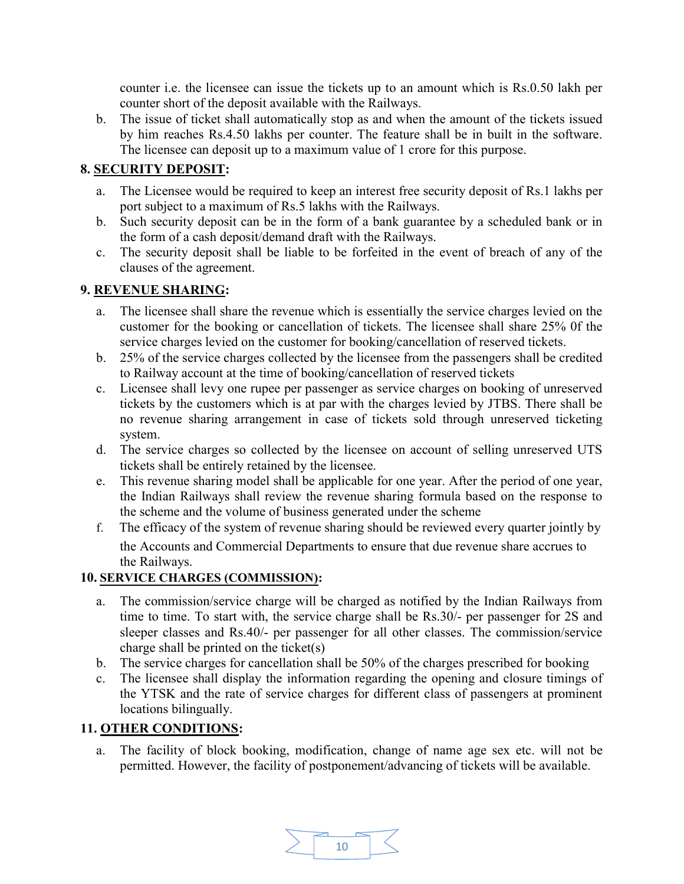counter i.e. the licensee can issue the tickets up to an amount which is Rs.0.50 lakh per counter short of the deposit available with the Railways.

b. The issue of ticket shall automatically stop as and when the amount of the tickets issued by him reaches Rs.4.50 lakhs per counter. The feature shall be in built in the software. The licensee can deposit up to a maximum value of 1 crore for this purpose.

# 8. SECURITY DEPOSIT:

- a. The Licensee would be required to keep an interest free security deposit of Rs.1 lakhs per port subject to a maximum of Rs.5 lakhs with the Railways.
- b. Such security deposit can be in the form of a bank guarantee by a scheduled bank or in the form of a cash deposit/demand draft with the Railways.
- c. The security deposit shall be liable to be forfeited in the event of breach of any of the clauses of the agreement.

# 9. REVENUE SHARING:

- a. The licensee shall share the revenue which is essentially the service charges levied on the customer for the booking or cancellation of tickets. The licensee shall share 25% 0f the service charges levied on the customer for booking/cancellation of reserved tickets.
- b. 25% of the service charges collected by the licensee from the passengers shall be credited to Railway account at the time of booking/cancellation of reserved tickets
- c. Licensee shall levy one rupee per passenger as service charges on booking of unreserved tickets by the customers which is at par with the charges levied by JTBS. There shall be no revenue sharing arrangement in case of tickets sold through unreserved ticketing system.
- d. The service charges so collected by the licensee on account of selling unreserved UTS tickets shall be entirely retained by the licensee.
- e. This revenue sharing model shall be applicable for one year. After the period of one year, the Indian Railways shall review the revenue sharing formula based on the response to the scheme and the volume of business generated under the scheme
- f. The efficacy of the system of revenue sharing should be reviewed every quarter jointly by the Accounts and Commercial Departments to ensure that due revenue share accrues to the Railways.

# 10. SERVICE CHARGES (COMMISSION):

- a. The commission/service charge will be charged as notified by the Indian Railways from time to time. To start with, the service charge shall be Rs.30/- per passenger for 2S and sleeper classes and Rs.40/- per passenger for all other classes. The commission/service charge shall be printed on the ticket(s)
- b. The service charges for cancellation shall be 50% of the charges prescribed for booking
- c. The licensee shall display the information regarding the opening and closure timings of the YTSK and the rate of service charges for different class of passengers at prominent locations bilingually.

# 11. OTHER CONDITIONS:

a. The facility of block booking, modification, change of name age sex etc. will not be permitted. However, the facility of postponement/advancing of tickets will be available.

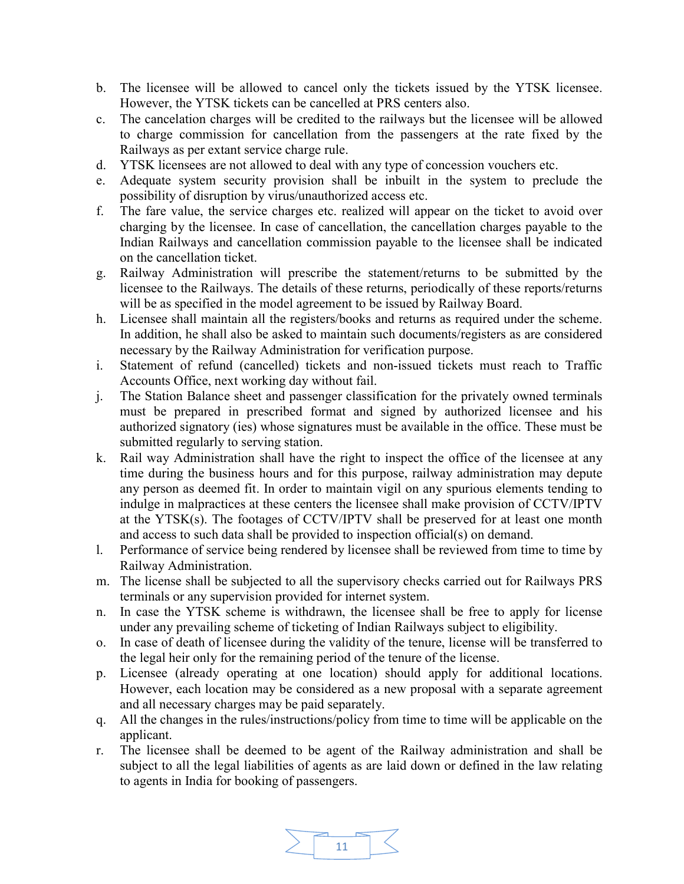- b. The licensee will be allowed to cancel only the tickets issued by the YTSK licensee. However, the YTSK tickets can be cancelled at PRS centers also.
- c. The cancelation charges will be credited to the railways but the licensee will be allowed to charge commission for cancellation from the passengers at the rate fixed by the Railways as per extant service charge rule.
- d. YTSK licensees are not allowed to deal with any type of concession vouchers etc.
- e. Adequate system security provision shall be inbuilt in the system to preclude the possibility of disruption by virus/unauthorized access etc.
- f. The fare value, the service charges etc. realized will appear on the ticket to avoid over charging by the licensee. In case of cancellation, the cancellation charges payable to the Indian Railways and cancellation commission payable to the licensee shall be indicated on the cancellation ticket.
- g. Railway Administration will prescribe the statement/returns to be submitted by the licensee to the Railways. The details of these returns, periodically of these reports/returns will be as specified in the model agreement to be issued by Railway Board.
- h. Licensee shall maintain all the registers/books and returns as required under the scheme. In addition, he shall also be asked to maintain such documents/registers as are considered necessary by the Railway Administration for verification purpose.
- i. Statement of refund (cancelled) tickets and non-issued tickets must reach to Traffic Accounts Office, next working day without fail.
- j. The Station Balance sheet and passenger classification for the privately owned terminals must be prepared in prescribed format and signed by authorized licensee and his authorized signatory (ies) whose signatures must be available in the office. These must be submitted regularly to serving station.
- k. Rail way Administration shall have the right to inspect the office of the licensee at any time during the business hours and for this purpose, railway administration may depute any person as deemed fit. In order to maintain vigil on any spurious elements tending to indulge in malpractices at these centers the licensee shall make provision of CCTV/IPTV at the YTSK(s). The footages of CCTV/IPTV shall be preserved for at least one month and access to such data shall be provided to inspection official(s) on demand.
- l. Performance of service being rendered by licensee shall be reviewed from time to time by Railway Administration.
- m. The license shall be subjected to all the supervisory checks carried out for Railways PRS terminals or any supervision provided for internet system.
- n. In case the YTSK scheme is withdrawn, the licensee shall be free to apply for license under any prevailing scheme of ticketing of Indian Railways subject to eligibility.
- o. In case of death of licensee during the validity of the tenure, license will be transferred to the legal heir only for the remaining period of the tenure of the license.
- p. Licensee (already operating at one location) should apply for additional locations. However, each location may be considered as a new proposal with a separate agreement and all necessary charges may be paid separately.
- q. All the changes in the rules/instructions/policy from time to time will be applicable on the applicant.
- r. The licensee shall be deemed to be agent of the Railway administration and shall be subject to all the legal liabilities of agents as are laid down or defined in the law relating to agents in India for booking of passengers.

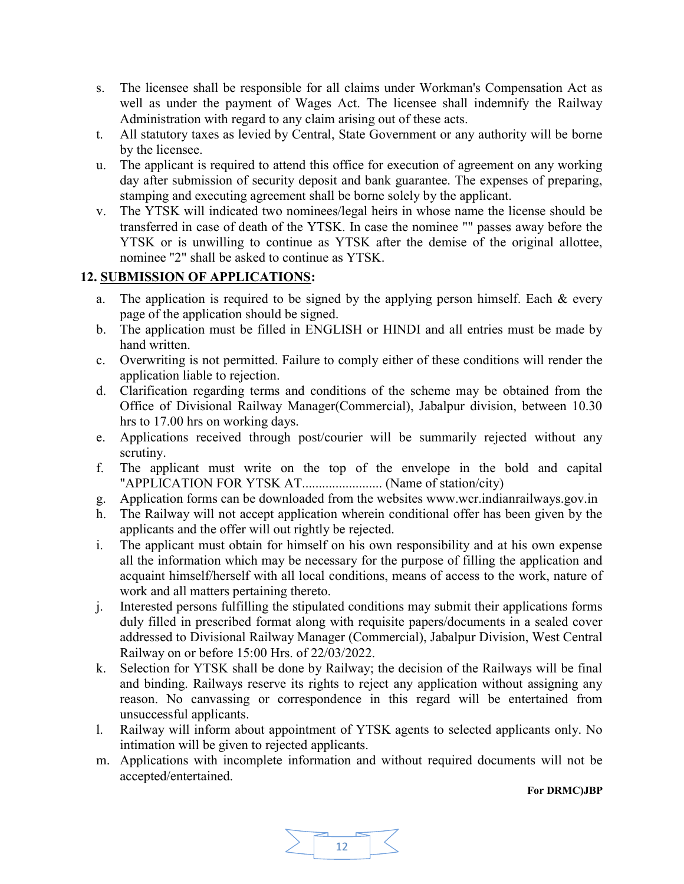- s. The licensee shall be responsible for all claims under Workman's Compensation Act as well as under the payment of Wages Act. The licensee shall indemnify the Railway Administration with regard to any claim arising out of these acts.
- t. All statutory taxes as levied by Central, State Government or any authority will be borne by the licensee.
- u. The applicant is required to attend this office for execution of agreement on any working day after submission of security deposit and bank guarantee. The expenses of preparing, stamping and executing agreement shall be borne solely by the applicant.
- v. The YTSK will indicated two nominees/legal heirs in whose name the license should be transferred in case of death of the YTSK. In case the nominee "" passes away before the YTSK or is unwilling to continue as YTSK after the demise of the original allottee, nominee "2" shall be asked to continue as YTSK.

## 12. SUBMISSION OF APPLICATIONS:

- a. The application is required to be signed by the applying person himself. Each & every page of the application should be signed.
- b. The application must be filled in ENGLISH or HINDI and all entries must be made by hand written.
- c. Overwriting is not permitted. Failure to comply either of these conditions will render the application liable to rejection.
- d. Clarification regarding terms and conditions of the scheme may be obtained from the Office of Divisional Railway Manager(Commercial), Jabalpur division, between 10.30 hrs to 17.00 hrs on working days.
- e. Applications received through post/courier will be summarily rejected without any scrutiny.
- f. The applicant must write on the top of the envelope in the bold and capital "APPLICATION FOR YTSK AT........................ (Name of station/city)
- g. Application forms can be downloaded from the websites www.wcr.indianrailways.gov.in
- h. The Railway will not accept application wherein conditional offer has been given by the applicants and the offer will out rightly be rejected.
- i. The applicant must obtain for himself on his own responsibility and at his own expense all the information which may be necessary for the purpose of filling the application and acquaint himself/herself with all local conditions, means of access to the work, nature of work and all matters pertaining thereto.
- j. Interested persons fulfilling the stipulated conditions may submit their applications forms duly filled in prescribed format along with requisite papers/documents in a sealed cover addressed to Divisional Railway Manager (Commercial), Jabalpur Division, West Central Railway on or before 15:00 Hrs. of 22/03/2022.
- k. Selection for YTSK shall be done by Railway; the decision of the Railways will be final and binding. Railways reserve its rights to reject any application without assigning any reason. No canvassing or correspondence in this regard will be entertained from unsuccessful applicants.
- l. Railway will inform about appointment of YTSK agents to selected applicants only. No intimation will be given to rejected applicants.
- m. Applications with incomplete information and without required documents will not be accepted/entertained.

#### For DRMC)JBP

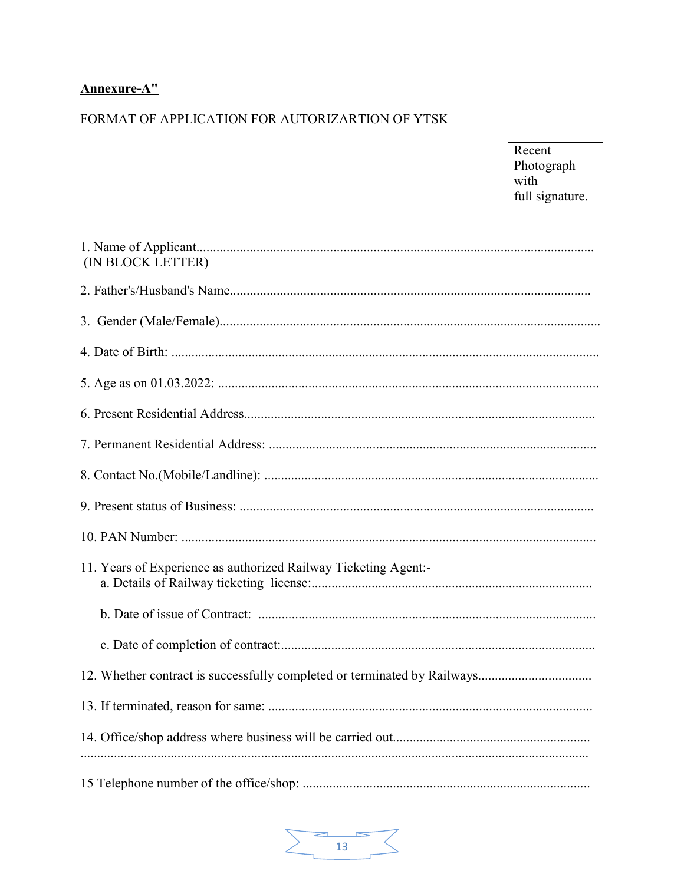# Annexure-A"

# FORMAT OF APPLICATION FOR AUTORIZARTION OF YTSK

|                                                                 | Photograph<br>with<br>full signature. |
|-----------------------------------------------------------------|---------------------------------------|
| (IN BLOCK LETTER)                                               |                                       |
|                                                                 |                                       |
|                                                                 |                                       |
|                                                                 |                                       |
|                                                                 |                                       |
|                                                                 |                                       |
|                                                                 |                                       |
|                                                                 |                                       |
|                                                                 |                                       |
|                                                                 |                                       |
| 11. Years of Experience as authorized Railway Ticketing Agent:- |                                       |
|                                                                 |                                       |
|                                                                 |                                       |
|                                                                 |                                       |
|                                                                 |                                       |
|                                                                 |                                       |
|                                                                 |                                       |

Recent

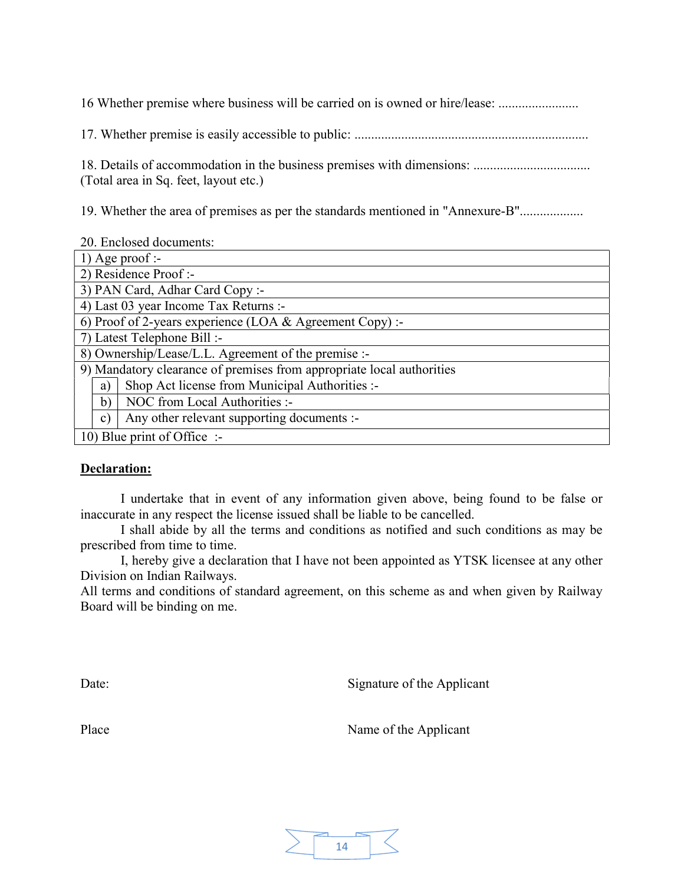16 Whether premise where business will be carried on is owned or hire/lease: ........................

17. Whether premise is easily accessible to public: ......................................................................

18. Details of accommodation in the business premises with dimensions: ................................... (Total area in Sq. feet, layout etc.)

19. Whether the area of premises as per the standards mentioned in "Annexure-B"...................

20. Enclosed documents:

| $1)$ Age proof :-                                                     |
|-----------------------------------------------------------------------|
| 2) Residence Proof :-                                                 |
| 3) PAN Card, Adhar Card Copy :-                                       |
| 4) Last 03 year Income Tax Returns :-                                 |
| 6) Proof of 2-years experience (LOA $&$ Agreement Copy) :-            |
| 7) Latest Telephone Bill :-                                           |
| 8) Ownership/Lease/L.L. Agreement of the premise :-                   |
| 9) Mandatory clearance of premises from appropriate local authorities |
| Shop Act license from Municipal Authorities :-<br>a)                  |
| NOC from Local Authorities :-<br>b)                                   |
| Any other relevant supporting documents :-<br>$\mathbf{c})$           |
| 10) Blue print of Office :-                                           |

#### Declaration:

I undertake that in event of any information given above, being found to be false or inaccurate in any respect the license issued shall be liable to be cancelled.

I shall abide by all the terms and conditions as notified and such conditions as may be prescribed from time to time.

I, hereby give a declaration that I have not been appointed as YTSK licensee at any other Division on Indian Railways.

All terms and conditions of standard agreement, on this scheme as and when given by Railway Board will be binding on me.

Date: Signature of the Applicant

Place Name of the Applicant

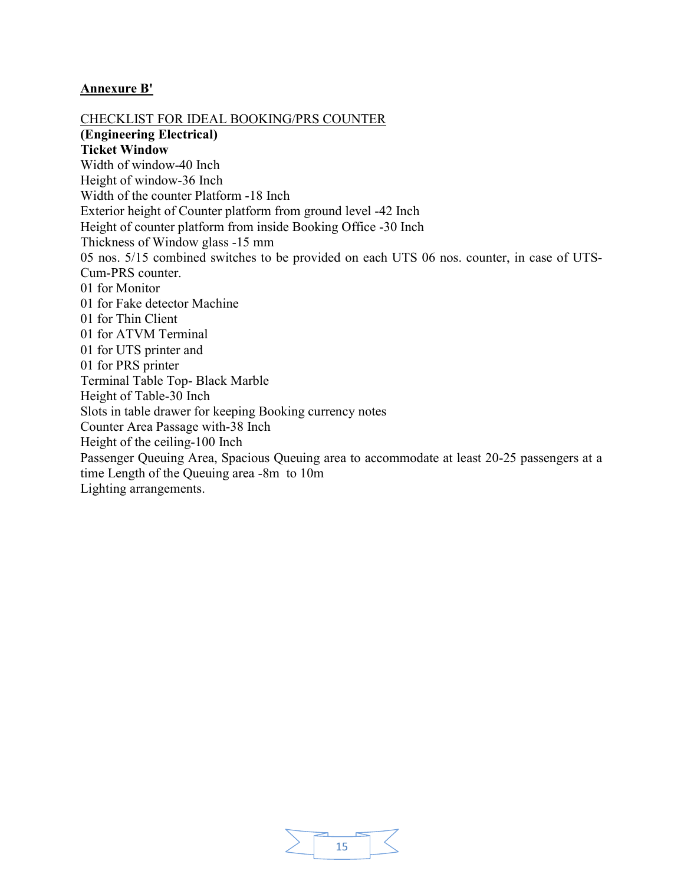#### Annexure B'

CHECKLIST FOR IDEAL BOOKING/PRS COUNTER (Engineering Electrical) Ticket Window Width of window-40 Inch Height of window-36 Inch Width of the counter Platform -18 Inch Exterior height of Counter platform from ground level -42 Inch Height of counter platform from inside Booking Office -30 Inch Thickness of Window glass -15 mm 05 nos. 5/15 combined switches to be provided on each UTS 06 nos. counter, in case of UTS-Cum-PRS counter. 01 for Monitor 01 for Fake detector Machine 01 for Thin Client 01 for ATVM Terminal 01 for UTS printer and 01 for PRS printer Terminal Table Top- Black Marble Height of Table-30 Inch Slots in table drawer for keeping Booking currency notes Counter Area Passage with-38 Inch Height of the ceiling-100 Inch Passenger Queuing Area, Spacious Queuing area to accommodate at least 20-25 passengers at a time Length of the Queuing area -8m to 10m Lighting arrangements.

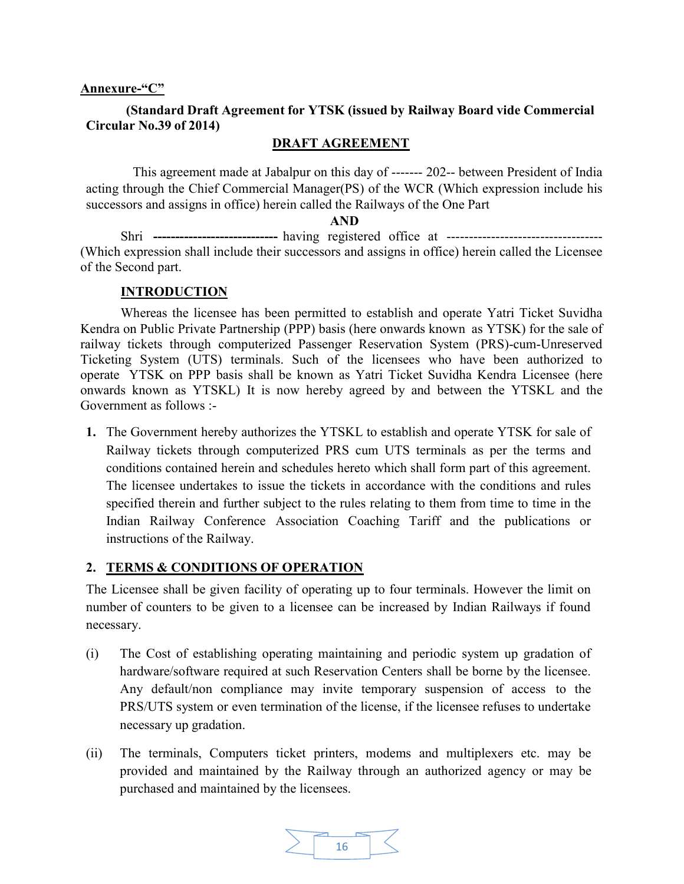#### Annexure-"C"

#### (Standard Draft Agreement for YTSK (issued by Railway Board vide Commercial Circular No.39 of 2014)

#### DRAFT AGREEMENT

 This agreement made at Jabalpur on this day of ------- 202-- between President of India acting through the Chief Commercial Manager(PS) of the WCR (Which expression include his successors and assigns in office) herein called the Railways of the One Part

#### AND

Shri ---------------------------- having registered office at ----------------------------------- (Which expression shall include their successors and assigns in office) herein called the Licensee of the Second part.

#### **INTRODUCTION**

Whereas the licensee has been permitted to establish and operate Yatri Ticket Suvidha Kendra on Public Private Partnership (PPP) basis (here onwards known as YTSK) for the sale of railway tickets through computerized Passenger Reservation System (PRS)-cum-Unreserved Ticketing System (UTS) terminals. Such of the licensees who have been authorized to operate YTSK on PPP basis shall be known as Yatri Ticket Suvidha Kendra Licensee (here onwards known as YTSKL) It is now hereby agreed by and between the YTSKL and the Government as follows :-

1. The Government hereby authorizes the YTSKL to establish and operate YTSK for sale of Railway tickets through computerized PRS cum UTS terminals as per the terms and conditions contained herein and schedules hereto which shall form part of this agreement. The licensee undertakes to issue the tickets in accordance with the conditions and rules specified therein and further subject to the rules relating to them from time to time in the Indian Railway Conference Association Coaching Tariff and the publications or instructions of the Railway.

#### 2. TERMS & CONDITIONS OF OPERATION

The Licensee shall be given facility of operating up to four terminals. However the limit on number of counters to be given to a licensee can be increased by Indian Railways if found necessary.

- (i) The Cost of establishing operating maintaining and periodic system up gradation of hardware/software required at such Reservation Centers shall be borne by the licensee. Any default/non compliance may invite temporary suspension of access to the PRS/UTS system or even termination of the license, if the licensee refuses to undertake necessary up gradation.
- (ii) The terminals, Computers ticket printers, modems and multiplexers etc. may be provided and maintained by the Railway through an authorized agency or may be purchased and maintained by the licensees.

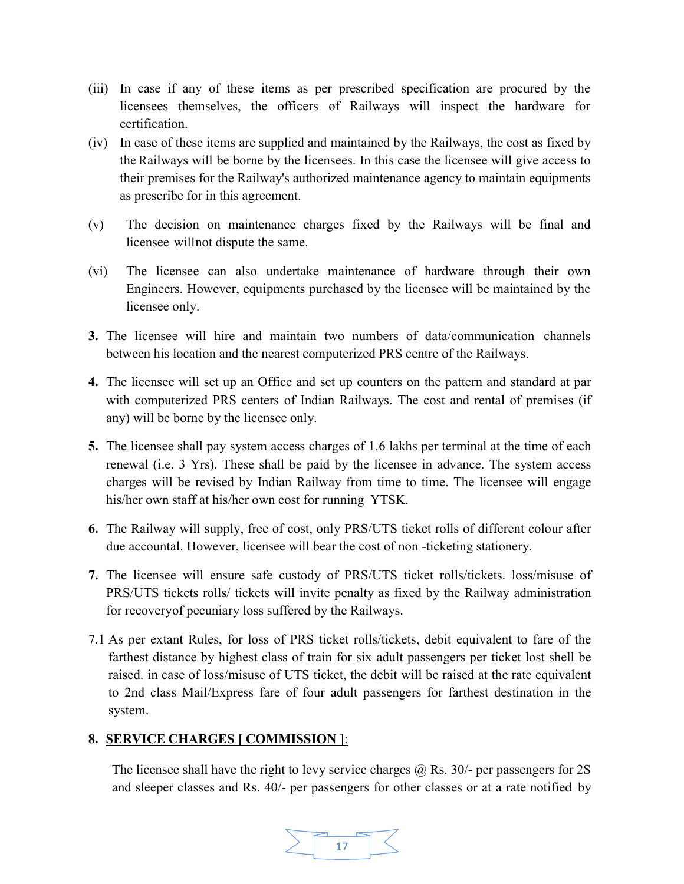- (iii) In case if any of these items as per prescribed specification are procured by the licensees themselves, the officers of Railways will inspect the hardware for certification.
- (iv) In case of these items are supplied and maintained by the Railways, the cost as fixed by the Railways will be borne by the licensees. In this case the licensee will give access to their premises for the Railway's authorized maintenance agency to maintain equipments as prescribe for in this agreement.
- (v) The decision on maintenance charges fixed by the Railways will be final and licensee will not dispute the same.
- (vi) The licensee can also undertake maintenance of hardware through their own Engineers. However, equipments purchased by the licensee will be maintained by the licensee only.
- 3. The licensee will hire and maintain two numbers of data/communication channels between his location and the nearest computerized PRS centre of the Railways.
- 4. The licensee will set up an Office and set up counters on the pattern and standard at par with computerized PRS centers of Indian Railways. The cost and rental of premises (if any) will be borne by the licensee only.
- 5. The licensee shall pay system access charges of 1.6 lakhs per terminal at the time of each renewal (i.e. 3 Yrs). These shall be paid by the licensee in advance. The system access charges will be revised by Indian Railway from time to time. The licensee will engage his/her own staff at his/her own cost for running YTSK.
- 6. The Railway will supply, free of cost, only PRS/UTS ticket rolls of different colour after due accountal. However, licensee will bear the cost of non -ticketing stationery.
- 7. The licensee will ensure safe custody of PRS/UTS ticket rolls/tickets. loss/misuse of PRS/UTS tickets rolls/ tickets will invite penalty as fixed by the Railway administration for recovery of pecuniary loss suffered by the Railways.
- 7.1 As per extant Rules, for loss of PRS ticket rolls/tickets, debit equivalent to fare of the farthest distance by highest class of train for six adult passengers per ticket lost shell be raised. in case of loss/misuse of UTS ticket, the debit will be raised at the rate equivalent to 2nd class Mail/Express fare of four adult passengers for farthest destination in the system.

#### 8. SERVICE CHARGES [ COMMISSION ]:

The licensee shall have the right to levy service charges  $\omega$  Rs. 30/- per passengers for 2S and sleeper classes and Rs. 40/- per passengers for other classes or at a rate notified by

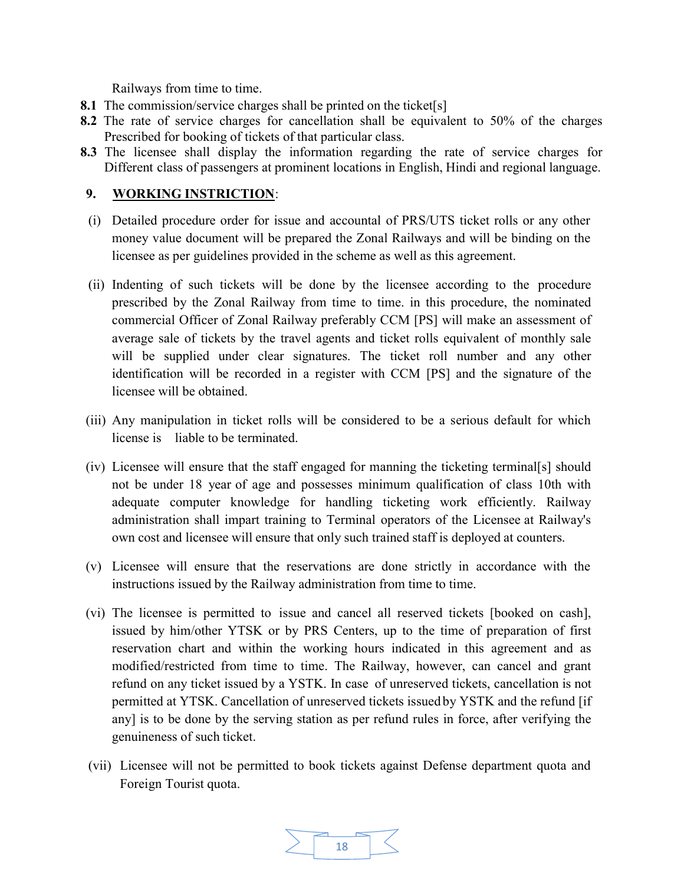Railways from time to time.

- 8.1 The commission/service charges shall be printed on the ticket[s]
- 8.2 The rate of service charges for cancellation shall be equivalent to 50% of the charges Prescribed for booking of tickets of that particular class.
- 8.3 The licensee shall display the information regarding the rate of service charges for Different class of passengers at prominent locations in English, Hindi and regional language.

#### 9. WORKING INSTRICTION:

- (i) Detailed procedure order for issue and accountal of PRS/UTS ticket rolls or any other money value document will be prepared the Zonal Railways and will be binding on the licensee as per guidelines provided in the scheme as well as this agreement.
- (ii) Indenting of such tickets will be done by the licensee according to the procedure prescribed by the Zonal Railway from time to time. in this procedure, the nominated commercial Officer of Zonal Railway preferably CCM [PS] will make an assessment of average sale of tickets by the travel agents and ticket rolls equivalent of monthly sale will be supplied under clear signatures. The ticket roll number and any other identification will be recorded in a register with CCM [PS] and the signature of the licensee will be obtained.
- (iii) Any manipulation in ticket rolls will be considered to be a serious default for which license is liable to be terminated.
- (iv) Licensee will ensure that the staff engaged for manning the ticketing terminal[s] should not be under 18 year of age and possesses minimum qualification of class 10th with adequate computer knowledge for handling ticketing work efficiently. Railway administration shall impart training to Terminal operators of the Licensee at Railway's own cost and licensee will ensure that only such trained staff is deployed at counters.
- (v) Licensee will ensure that the reservations are done strictly in accordance with the instructions issued by the Railway administration from time to time.
- (vi) The licensee is permitted to issue and cancel all reserved tickets [booked on cash], issued by him/other YTSK or by PRS Centers, up to the time of preparation of first reservation chart and within the working hours indicated in this agreement and as modified/restricted from time to time. The Railway, however, can cancel and grant refund on any ticket issued by a YSTK. In case of unreserved tickets, cancellation is not permitted at YTSK. Cancellation of unreserved tickets issued by YSTK and the refund [if any] is to be done by the serving station as per refund rules in force, after verifying the genuineness of such ticket.
- (vii) Licensee will not be permitted to book tickets against Defense department quota and Foreign Tourist quota.

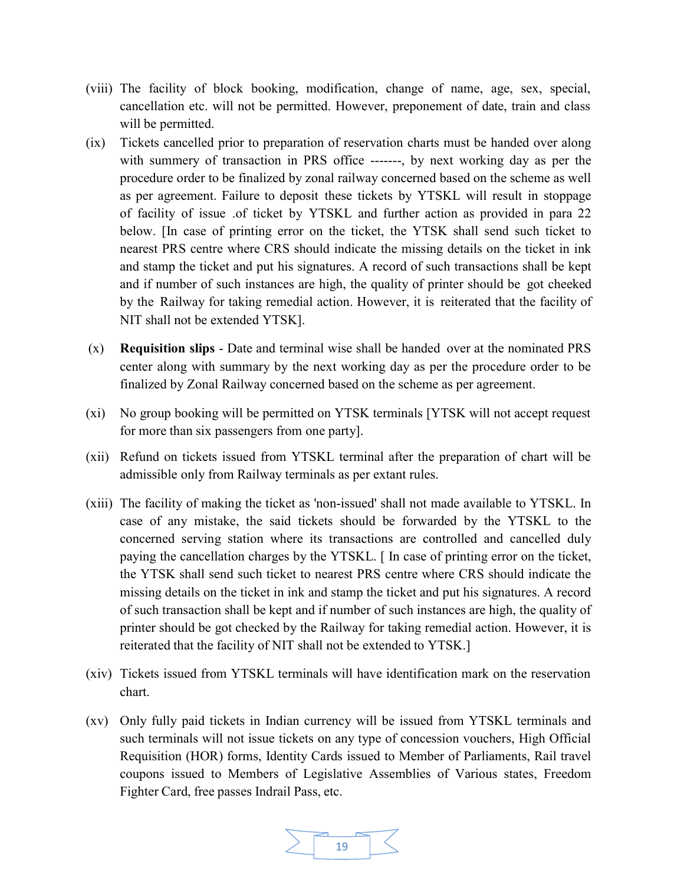- (viii) The facility of block booking, modification, change of name, age, sex, special, cancellation etc. will not be permitted. However, preponement of date, train and class will be permitted.
- (ix) Tickets cancelled prior to preparation of reservation charts must be handed over along with summery of transaction in PRS office ------, by next working day as per the procedure order to be finalized by zonal railway concerned based on the scheme as well as per agreement. Failure to deposit these tickets by YTSKL will result in stoppage of facility of issue .of ticket by YTSKL and further action as provided in para 22 below. [In case of printing error on the ticket, the YTSK shall send such ticket to nearest PRS centre where CRS should indicate the missing details on the ticket in ink and stamp the ticket and put his signatures. A record of such transactions shall be kept and if number of such instances are high, the quality of printer should be got cheeked by the Railway for taking remedial action. However, it is reiterated that the facility of NIT shall not be extended YTSK].
- (x) Requisition slips Date and terminal wise shall be handed over at the nominated PRS center along with summary by the next working day as per the procedure order to be finalized by Zonal Railway concerned based on the scheme as per agreement.
- (xi) No group booking will be permitted on YTSK terminals [YTSK will not accept request for more than six passengers from one party].
- (xii) Refund on tickets issued from YTSKL terminal after the preparation of chart will be admissible only from Railway terminals as per extant rules.
- (xiii) The facility of making the ticket as 'non-issued' shall not made available to YTSKL. In case of any mistake, the said tickets should be forwarded by the YTSKL to the concerned serving station where its transactions are controlled and cancelled duly paying the cancellation charges by the YTSKL. [ In case of printing error on the ticket, the YTSK shall send such ticket to nearest PRS centre where CRS should indicate the missing details on the ticket in ink and stamp the ticket and put his signatures. A record of such transaction shall be kept and if number of such instances are high, the quality of printer should be got checked by the Railway for taking remedial action. However, it is reiterated that the facility of NIT shall not be extended to YTSK.]
- (xiv) Tickets issued from YTSKL terminals will have identification mark on the reservation chart.
- (xv) Only fully paid tickets in Indian currency will be issued from YTSKL terminals and such terminals will not issue tickets on any type of concession vouchers, High Official Requisition (HOR) forms, Identity Cards issued to Member of Parliaments, Rail travel coupons issued to Members of Legislative Assemblies of Various states, Freedom Fighter Card, free passes Indrail Pass, etc.

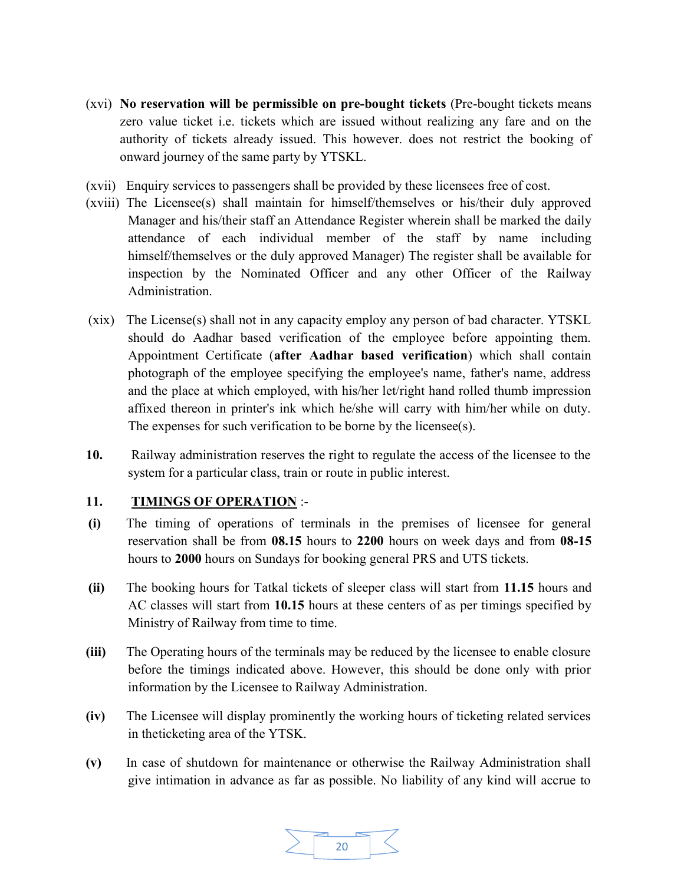- (xvi) No reservation will be permissible on pre-bought tickets (Pre-bought tickets means zero value ticket i.e. tickets which are issued without realizing any fare and on the authority of tickets already issued. This however. does not restrict the booking of onward journey of the same party by YTSKL.
- (xvii) Enquiry services to passengers shall be provided by these licensees free of cost.
- (xviii) The Licensee(s) shall maintain for himself/themselves or his/their duly approved Manager and his/their staff an Attendance Register wherein shall be marked the daily attendance of each individual member of the staff by name including himself/themselves or the duly approved Manager) The register shall be available for inspection by the Nominated Officer and any other Officer of the Railway Administration.
- (xix) The License(s) shall not in any capacity employ any person of bad character. YTSKL should do Aadhar based verification of the employee before appointing them. Appointment Certificate (after Aadhar based verification) which shall contain photograph of the employee specifying the employee's name, father's name, address and the place at which employed, with his/her let/right hand rolled thumb impression affixed thereon in printer's ink which he/she will carry with him/her while on duty. The expenses for such verification to be borne by the licensee(s).
- 10. Railway administration reserves the right to regulate the access of the licensee to the system for a particular class, train or route in public interest.

#### 11. TIMINGS OF OPERATION :-

- (i) The timing of operations of terminals in the premises of licensee for general reservation shall be from 08.15 hours to 2200 hours on week days and from 08-15 hours to 2000 hours on Sundays for booking general PRS and UTS tickets.
- (ii) The booking hours for Tatkal tickets of sleeper class will start from 11.15 hours and AC classes will start from 10.15 hours at these centers of as per timings specified by Ministry of Railway from time to time.
- (iii) The Operating hours of the terminals may be reduced by the licensee to enable closure before the timings indicated above. However, this should be done only with prior information by the Licensee to Railway Administration.
- (iv) The Licensee will display prominently the working hours of ticketing related services in the ticketing area of the YTSK.
- (v) In case of shutdown for maintenance or otherwise the Railway Administration shall give intimation in advance as far as possible. No liability of any kind will accrue to

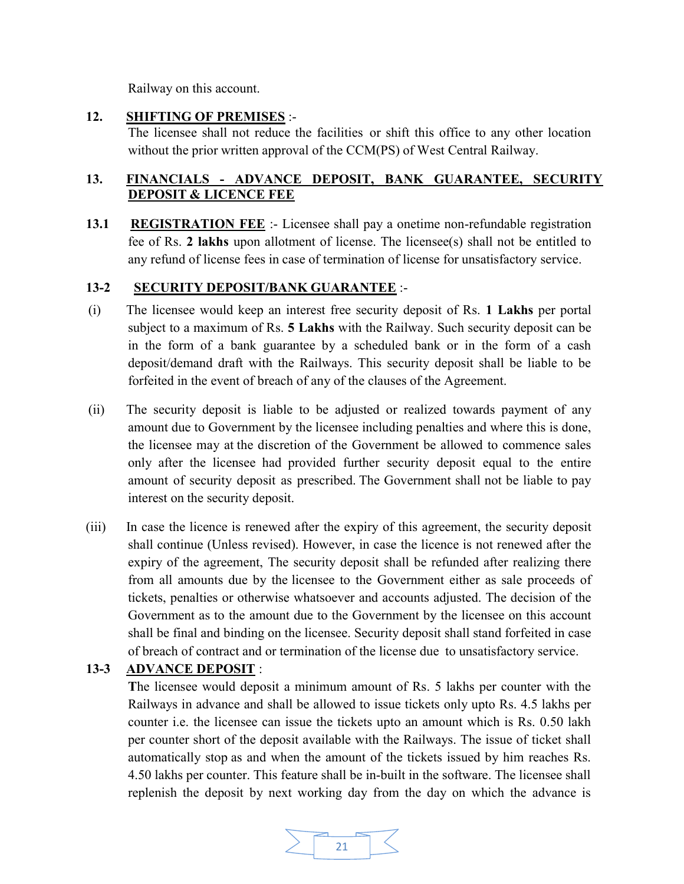Railway on this account.

#### 12. SHIFTING OF PREMISES :-

The licensee shall not reduce the facilities or shift this office to any other location without the prior written approval of the CCM(PS) of West Central Railway.

## 13. FINANCIALS - ADVANCE DEPOSIT, BANK GUARANTEE, SECURITY DEPOSIT & LICENCE FEE

13.1 REGISTRATION FEE :- Licensee shall pay a onetime non-refundable registration fee of Rs. 2 lakhs upon allotment of license. The licensee(s) shall not be entitled to any refund of license fees in case of termination of license for unsatisfactory service.

# 13-2 SECURITY DEPOSIT/BANK GUARANTEE :-

- (i) The licensee would keep an interest free security deposit of Rs. 1 Lakhs per portal subject to a maximum of Rs. 5 Lakhs with the Railway. Such security deposit can be in the form of a bank guarantee by a scheduled bank or in the form of a cash deposit/demand draft with the Railways. This security deposit shall be liable to be forfeited in the event of breach of any of the clauses of the Agreement.
- (ii) The security deposit is liable to be adjusted or realized towards payment of any amount due to Government by the licensee including penalties and where this is done, the licensee may at the discretion of the Government be allowed to commence sales only after the licensee had provided further security deposit equal to the entire amount of security deposit as prescribed. The Government shall not be liable to pay interest on the security deposit.
- (iii) In case the licence is renewed after the expiry of this agreement, the security deposit shall continue (Unless revised). However, in case the licence is not renewed after the expiry of the agreement, The security deposit shall be refunded after realizing there from all amounts due by the licensee to the Government either as sale proceeds of tickets, penalties or otherwise whatsoever and accounts adjusted. The decision of the Government as to the amount due to the Government by the licensee on this account shall be final and binding on the licensee. Security deposit shall stand forfeited in case of breach of contract and or termination of the license due to unsatisfactory service.

# 13-3 ADVANCE DEPOSIT :

The licensee would deposit a minimum amount of Rs. 5 lakhs per counter with the Railways in advance and shall be allowed to issue tickets only upto Rs. 4.5 lakhs per counter i.e. the licensee can issue the tickets upto an amount which is Rs. 0.50 lakh per counter short of the deposit available with the Railways. The issue of ticket shall automatically stop as and when the amount of the tickets issued by him reaches Rs. 4.50 lakhs per counter. This feature shall be in-built in the software. The licensee shall replenish the deposit by next working day from the day on which the advance is

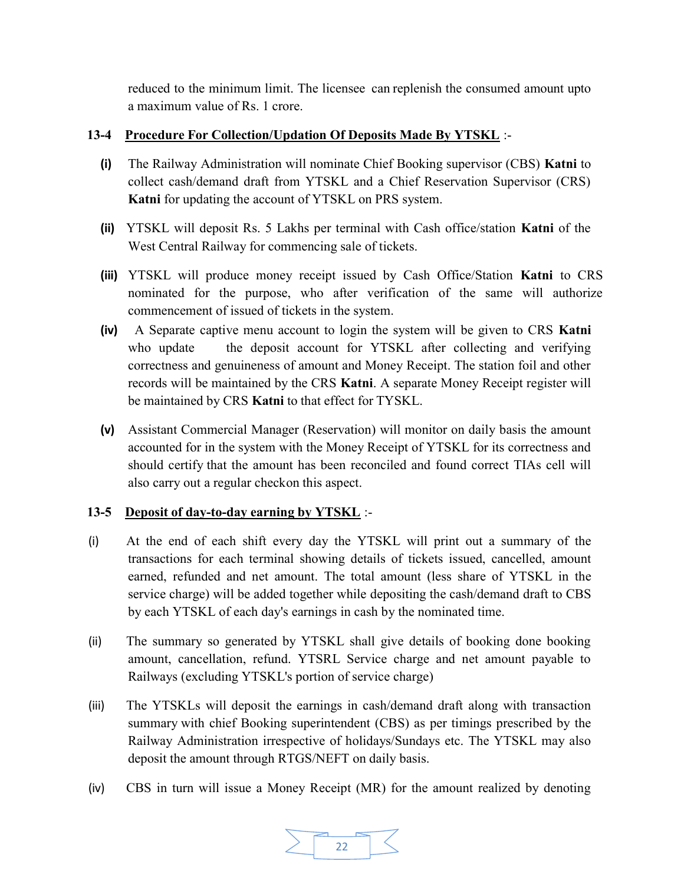reduced to the minimum limit. The licensee can replenish the consumed amount upto a maximum value of Rs. 1 crore.

## 13-4 Procedure For Collection/Updation Of Deposits Made By YTSKL :-

- (i) The Railway Administration will nominate Chief Booking supervisor (CBS) Katni to collect cash/demand draft from YTSKL and a Chief Reservation Supervisor (CRS) Katni for updating the account of YTSKL on PRS system.
- (ii) YTSKL will deposit Rs. 5 Lakhs per terminal with Cash office/station Katni of the West Central Railway for commencing sale of tickets.
- (iii) YTSKL will produce money receipt issued by Cash Office/Station Katni to CRS nominated for the purpose, who after verification of the same will authorize commencement of issued of tickets in the system.
- (iv) A Separate captive menu account to login the system will be given to CRS Katni who update the deposit account for YTSKL after collecting and verifying correctness and genuineness of amount and Money Receipt. The station foil and other records will be maintained by the CRS Katni. A separate Money Receipt register will be maintained by CRS Katni to that effect for TYSKL.
- (v) Assistant Commercial Manager (Reservation) will monitor on daily basis the amount accounted for in the system with the Money Receipt of YTSKL for its correctness and should certify that the amount has been reconciled and found correct TIAs cell will also carry out a regular check on this aspect.

# 13-5 Deposit of day-to-day earning by YTSKL :-

- (i) At the end of each shift every day the YTSKL will print out a summary of the transactions for each terminal showing details of tickets issued, cancelled, amount earned, refunded and net amount. The total amount (less share of YTSKL in the service charge) will be added together while depositing the cash/demand draft to CBS by each YTSKL of each day's earnings in cash by the nominated time.
- (ii) The summary so generated by YTSKL shall give details of booking done booking amount, cancellation, refund. YTSRL Service charge and net amount payable to Railways (excluding YTSKL's portion of service charge)
- (iii) The YTSKLs will deposit the earnings in cash/demand draft along with transaction summary with chief Booking superintendent (CBS) as per timings prescribed by the Railway Administration irrespective of holidays/Sundays etc. The YTSKL may also deposit the amount through RTGS/NEFT on daily basis.
- (iv) CBS in turn will issue a Money Receipt (MR) for the amount realized by denoting

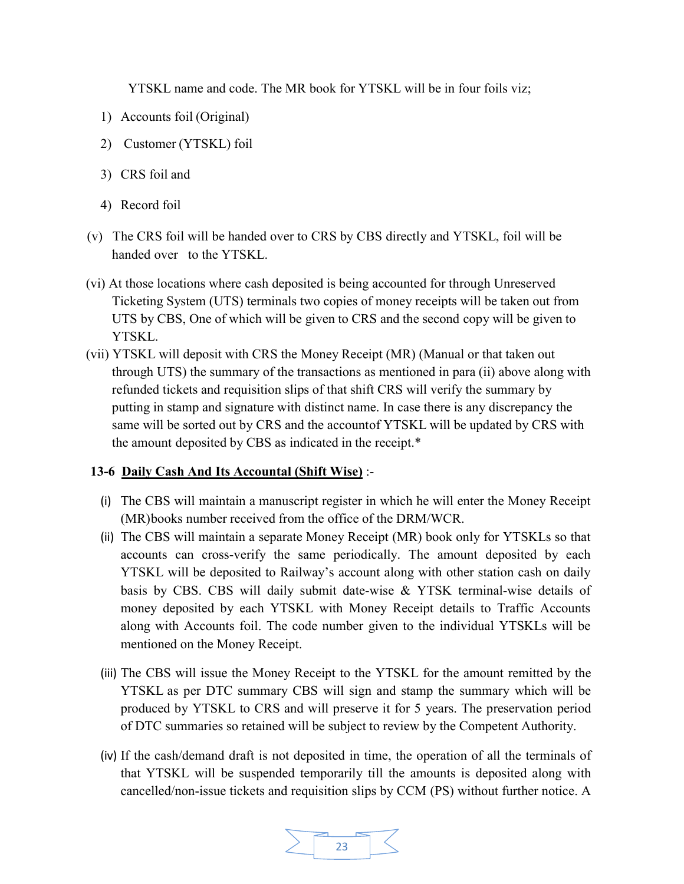YTSKL name and code. The MR book for YTSKL will be in four foils viz;

- 1) Accounts foil (Original)
- 2) Customer (YTSKL) foil
- 3) CRS foil and
- 4) Record foil
- (v) The CRS foil will be handed over to CRS by CBS directly and YTSKL, foil will be handed over to the YTSKL.
- (vi) At those locations where cash deposited is being accounted for through Unreserved Ticketing System (UTS) terminals two copies of money receipts will be taken out from UTS by CBS, One of which will be given to CRS and the second copy will be given to YTSKL.
- (vii) YTSKL will deposit with CRS the Money Receipt (MR) (Manual or that taken out through UTS) the summary of the transactions as mentioned in para (ii) above along with refunded tickets and requisition slips of that shift CRS will verify the summary by putting in stamp and signature with distinct name. In case there is any discrepancy the same will be sorted out by CRS and the account of YTSKL will be updated by CRS with the amount deposited by CBS as indicated in the receipt.\*

#### 13-6 Daily Cash And Its Accountal (Shift Wise) :-

- (i) The CBS will maintain a manuscript register in which he will enter the Money Receipt (MR) books number received from the office of the DRM/WCR.
- (ii) The CBS will maintain a separate Money Receipt (MR) book only for YTSKLs so that accounts can cross-verify the same periodically. The amount deposited by each YTSKL will be deposited to Railway's account along with other station cash on daily basis by CBS. CBS will daily submit date-wise & YTSK terminal-wise details of money deposited by each YTSKL with Money Receipt details to Traffic Accounts along with Accounts foil. The code number given to the individual YTSKLs will be mentioned on the Money Receipt.
- (iii) The CBS will issue the Money Receipt to the YTSKL for the amount remitted by the YTSKL as per DTC summary CBS will sign and stamp the summary which will be produced by YTSKL to CRS and will preserve it for 5 years. The preservation period of DTC summaries so retained will be subject to review by the Competent Authority.
- (iv) If the cash/demand draft is not deposited in time, the operation of all the terminals of that YTSKL will be suspended temporarily till the amounts is deposited along with cancelled/non-issue tickets and requisition slips by CCM (PS) without further notice. A

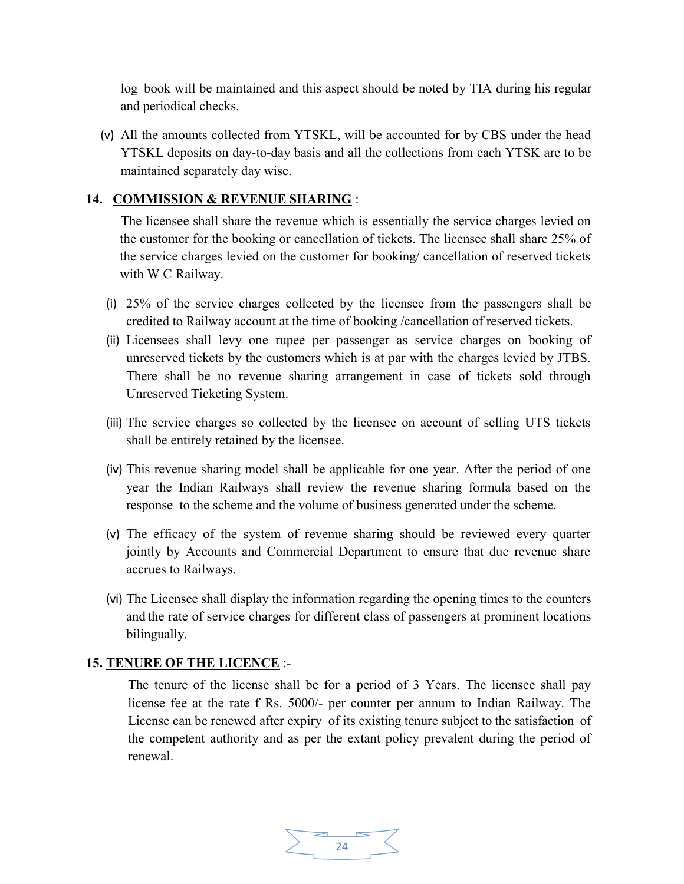log book will be maintained and this aspect should be noted by TIA during his regular and periodical checks.

(v) All the amounts collected from YTSKL, will be accounted for by CBS under the head YTSKL deposits on day-to-day basis and all the collections from each YTSK are to be maintained separately day wise.

#### 14. COMMISSION & REVENUE SHARING :

 The licensee shall share the revenue which is essentially the service charges levied on the customer for the booking or cancellation of tickets. The licensee shall share 25% of the service charges levied on the customer for booking/ cancellation of reserved tickets with W C Railway.

- (i) 25% of the service charges collected by the licensee from the passengers shall be credited to Railway account at the time of booking /cancellation of reserved tickets.
- (ii) Licensees shall levy one rupee per passenger as service charges on booking of unreserved tickets by the customers which is at par with the charges levied by JTBS. There shall be no revenue sharing arrangement in case of tickets sold through Unreserved Ticketing System.
- (iii) The service charges so collected by the licensee on account of selling UTS tickets shall be entirely retained by the licensee.
- (iv) This revenue sharing model shall be applicable for one year. After the period of one year the Indian Railways shall review the revenue sharing formula based on the response to the scheme and the volume of business generated under the scheme.
- (v) The efficacy of the system of revenue sharing should be reviewed every quarter jointly by Accounts and Commercial Department to ensure that due revenue share accrues to Railways.
- (vi) The Licensee shall display the information regarding the opening times to the counters and the rate of service charges for different class of passengers at prominent locations bilingually.

#### 15. TENURE OF THE LICENCE :-

The tenure of the license shall be for a period of 3 Years. The licensee shall pay license fee at the rate f Rs. 5000/- per counter per annum to Indian Railway. The License can be renewed after expiry of its existing tenure subject to the satisfaction of the competent authority and as per the extant policy prevalent during the period of renewal.

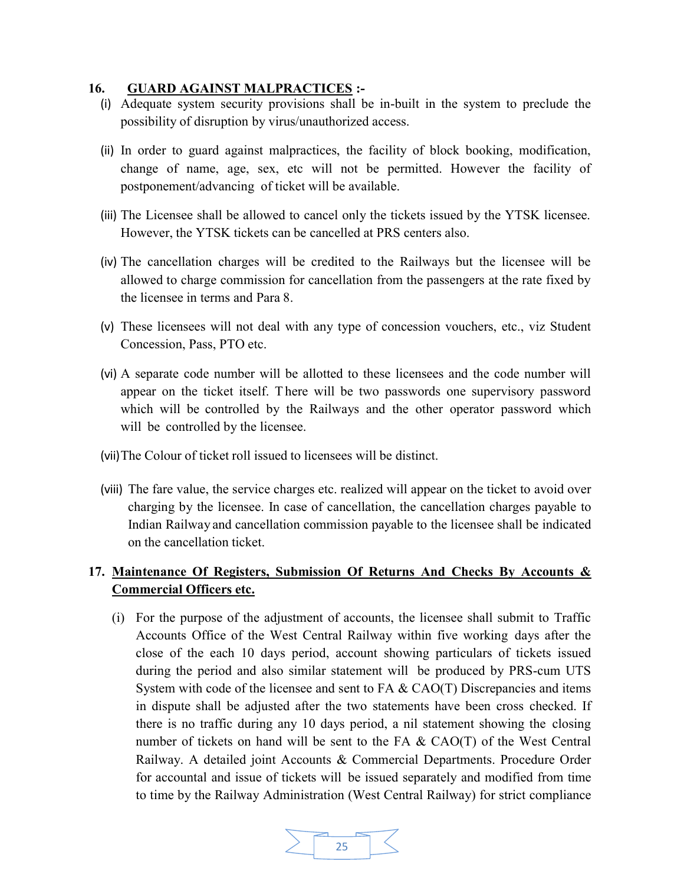#### 16. GUARD AGAINST MALPRACTICES :-

- (i) Adequate system security provisions shall be in-built in the system to preclude the possibility of disruption by virus/unauthorized access.
- (ii) In order to guard against malpractices, the facility of block booking, modification, change of name, age, sex, etc will not be permitted. However the facility of postponement/advancing of ticket will be available.
- (iii) The Licensee shall be allowed to cancel only the tickets issued by the YTSK licensee. However, the YTSK tickets can be cancelled at PRS centers also.
- (iv) The cancellation charges will be credited to the Railways but the licensee will be allowed to charge commission for cancellation from the passengers at the rate fixed by the licensee in terms and Para 8.
- (v) These licensees will not deal with any type of concession vouchers, etc., viz Student Concession, Pass, PTO etc.
- (vi) A separate code number will be allotted to these licensees and the code number will appear on the ticket itself. T here will be two passwords one supervisory password which will be controlled by the Railways and the other operator password which will be controlled by the licensee.
- (vii)The Colour of ticket roll issued to licensees will be distinct.
- (viii) The fare value, the service charges etc. realized will appear on the ticket to avoid over charging by the licensee. In case of cancellation, the cancellation charges payable to Indian Railway and cancellation commission payable to the licensee shall be indicated on the cancellation ticket.

# 17. Maintenance Of Registers, Submission Of Returns And Checks By Accounts & Commercial Officers etc.

(i) For the purpose of the adjustment of accounts, the licensee shall submit to Traffic Accounts Office of the West Central Railway within five working days after the close of the each 10 days period, account showing particulars of tickets issued during the period and also similar statement will be produced by PRS-cum UTS System with code of the licensee and sent to  $FA & CAO(T)$  Discrepancies and items in dispute shall be adjusted after the two statements have been cross checked. If there is no traffic during any 10 days period, a nil statement showing the closing number of tickets on hand will be sent to the FA  $\&$  CAO(T) of the West Central Railway. A detailed joint Accounts & Commercial Departments. Procedure Order for accountal and issue of tickets will be issued separately and modified from time to time by the Railway Administration (West Central Railway) for strict compliance

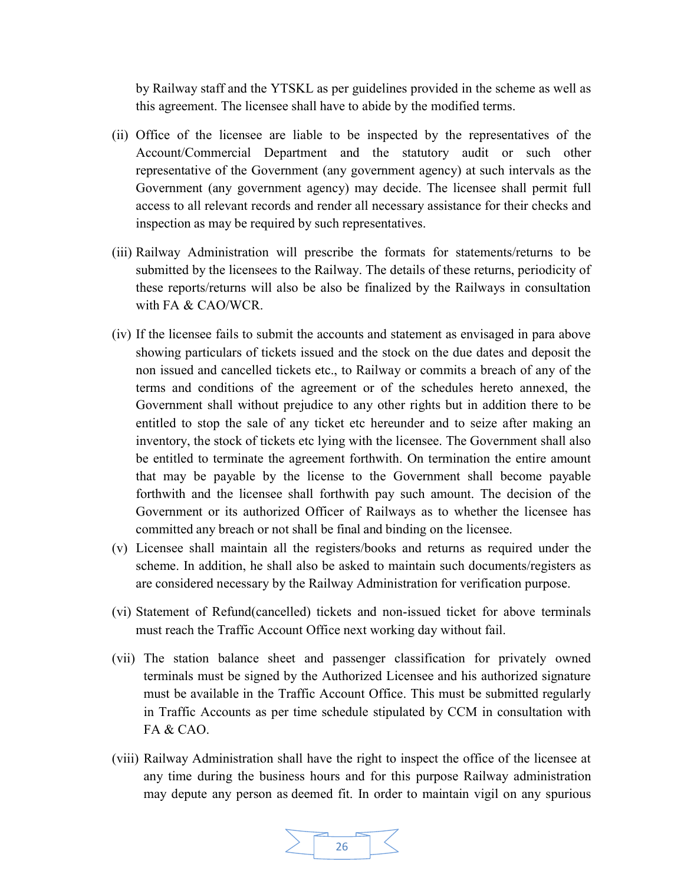by Railway staff and the YTSKL as per guidelines provided in the scheme as well as this agreement. The licensee shall have to abide by the modified terms.

- (ii) Office of the licensee are liable to be inspected by the representatives of the Account/Commercial Department and the statutory audit or such other representative of the Government (any government agency) at such intervals as the Government (any government agency) may decide. The licensee shall permit full access to all relevant records and render all necessary assistance for their checks and inspection as may be required by such representatives.
- (iii) Railway Administration will prescribe the formats for statements/returns to be submitted by the licensees to the Railway. The details of these returns, periodicity of these reports/returns will also be also be finalized by the Railways in consultation with FA & CAO/WCR.
- (iv) If the licensee fails to submit the accounts and statement as envisaged in para above showing particulars of tickets issued and the stock on the due dates and deposit the non issued and cancelled tickets etc., to Railway or commits a breach of any of the terms and conditions of the agreement or of the schedules hereto annexed, the Government shall without prejudice to any other rights but in addition there to be entitled to stop the sale of any ticket etc hereunder and to seize after making an inventory, the stock of tickets etc lying with the licensee. The Government shall also be entitled to terminate the agreement forthwith. On termination the entire amount that may be payable by the license to the Government shall become payable forthwith and the licensee shall forthwith pay such amount. The decision of the Government or its authorized Officer of Railways as to whether the licensee has committed any breach or not shall be final and binding on the licensee.
- (v) Licensee shall maintain all the registers/books and returns as required under the scheme. In addition, he shall also be asked to maintain such documents/registers as are considered necessary by the Railway Administration for verification purpose.
- (vi) Statement of Refund(cancelled) tickets and non-issued ticket for above terminals must reach the Traffic Account Office next working day without fail.
- (vii) The station balance sheet and passenger classification for privately owned terminals must be signed by the Authorized Licensee and his authorized signature must be available in the Traffic Account Office. This must be submitted regularly in Traffic Accounts as per time schedule stipulated by CCM in consultation with FA & CAO.
- (viii) Railway Administration shall have the right to inspect the office of the licensee at any time during the business hours and for this purpose Railway administration may depute any person as deemed fit. In order to maintain vigil on any spurious

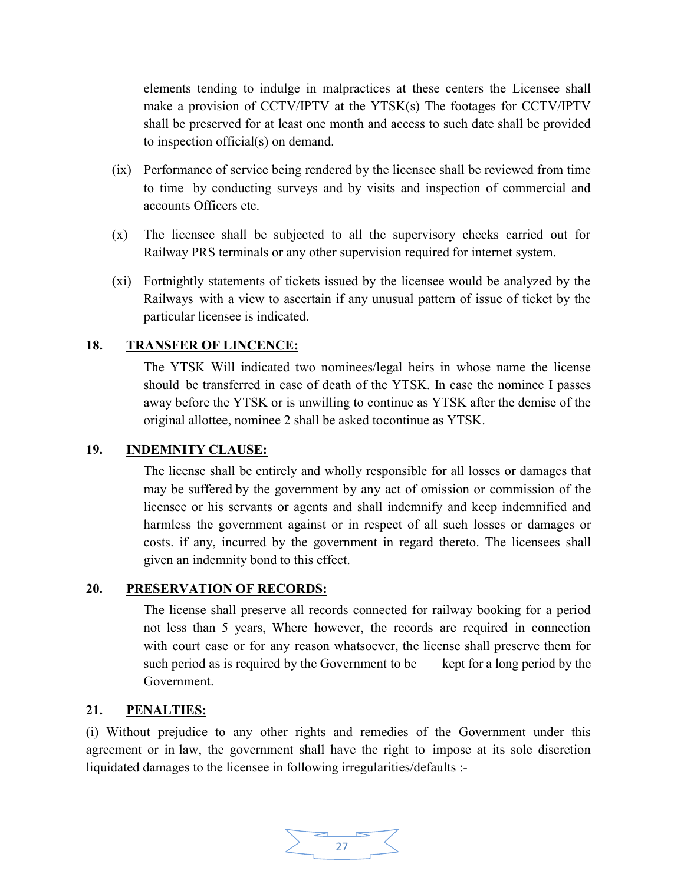elements tending to indulge in malpractices at these centers the Licensee shall make a provision of CCTV/IPTV at the YTSK(s) The footages for CCTV/IPTV shall be preserved for at least one month and access to such date shall be provided to inspection official(s) on demand.

- (ix) Performance of service being rendered by the licensee shall be reviewed from time to time by conducting surveys and by visits and inspection of commercial and accounts Officers etc.
- (x) The licensee shall be subjected to all the supervisory checks carried out for Railway PRS terminals or any other supervision required for internet system.
- (xi) Fortnightly statements of tickets issued by the licensee would be analyzed by the Railways with a view to ascertain if any unusual pattern of issue of ticket by the particular licensee is indicated.

#### 18. TRANSFER OF LINCENCE:

The YTSK Will indicated two nominees/legal heirs in whose name the license should be transferred in case of death of the YTSK. In case the nominee I passes away before the YTSK or is unwilling to continue as YTSK after the demise of the original allottee, nominee 2 shall be asked to continue as YTSK.

#### 19. INDEMNITY CLAUSE:

The license shall be entirely and wholly responsible for all losses or damages that may be suffered by the government by any act of omission or commission of the licensee or his servants or agents and shall indemnify and keep indemnified and harmless the government against or in respect of all such losses or damages or costs. if any, incurred by the government in regard thereto. The licensees shall given an indemnity bond to this effect.

#### 20. PRESERVATION OF RECORDS:

The license shall preserve all records connected for railway booking for a period not less than 5 years, Where however, the records are required in connection with court case or for any reason whatsoever, the license shall preserve them for such period as is required by the Government to be kept for a long period by the Government.

#### 21. PENALTIES:

(i) Without prejudice to any other rights and remedies of the Government under this agreement or in law, the government shall have the right to impose at its sole discretion liquidated damages to the licensee in following irregularities/defaults :-

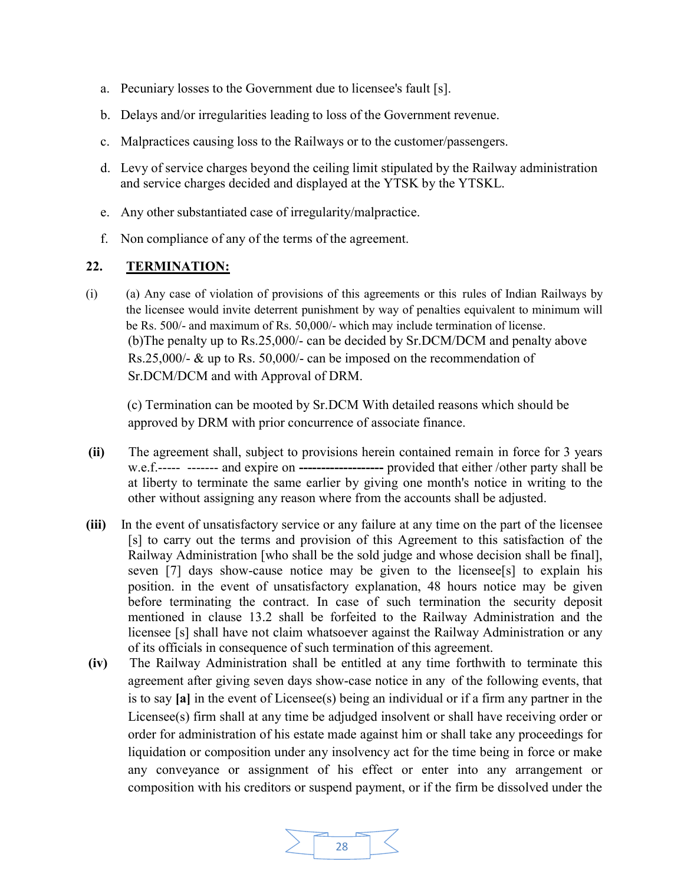- a. Pecuniary losses to the Government due to licensee's fault [s].
- b. Delays and/or irregularities leading to loss of the Government revenue.
- c. Malpractices causing loss to the Railways or to the customer/passengers.
- d. Levy of service charges beyond the ceiling limit stipulated by the Railway administration and service charges decided and displayed at the YTSK by the YTSKL.
- e. Any other substantiated case of irregularity/malpractice.
- f. Non compliance of any of the terms of the agreement.

#### 22. TERMINATION:

(i) (a) Any case of violation of provisions of this agreements or this rules of Indian Railways by the licensee would invite deterrent punishment by way of penalties equivalent to minimum will be Rs. 500/- and maximum of Rs. 50,000/- which may include termination of license. (b)The penalty up to Rs.25,000/- can be decided by Sr.DCM/DCM and penalty above Rs.25,000/- & up to Rs. 50,000/- can be imposed on the recommendation of Sr.DCM/DCM and with Approval of DRM.

 (c) Termination can be mooted by Sr.DCM With detailed reasons which should be approved by DRM with prior concurrence of associate finance.

- (ii) The agreement shall, subject to provisions herein contained remain in force for 3 years w.e.f.----- ------- and expire on --------------------- provided that either /other party shall be at liberty to terminate the same earlier by giving one month's notice in writing to the other without assigning any reason where from the accounts shall be adjusted.
- (iii) In the event of unsatisfactory service or any failure at any time on the part of the licensee [s] to carry out the terms and provision of this Agreement to this satisfaction of the Railway Administration [who shall be the sold judge and whose decision shall be final], seven [7] days show-cause notice may be given to the licensee<sup>[s]</sup> to explain his position. in the event of unsatisfactory explanation, 48 hours notice may be given before terminating the contract. In case of such termination the security deposit mentioned in clause 13.2 shall be forfeited to the Railway Administration and the licensee [s] shall have not claim whatsoever against the Railway Administration or any of its officials in consequence of such termination of this agreement.
- (iv) The Railway Administration shall be entitled at any time forthwith to terminate this agreement after giving seven days show-case notice in any of the following events, that is to say [a] in the event of Licensee(s) being an individual or if a firm any partner in the Licensee(s) firm shall at any time be adjudged insolvent or shall have receiving order or order for administration of his estate made against him or shall take any proceedings for liquidation or composition under any insolvency act for the time being in force or make any conveyance or assignment of his effect or enter into any arrangement or composition with his creditors or suspend payment, or if the firm be dissolved under the

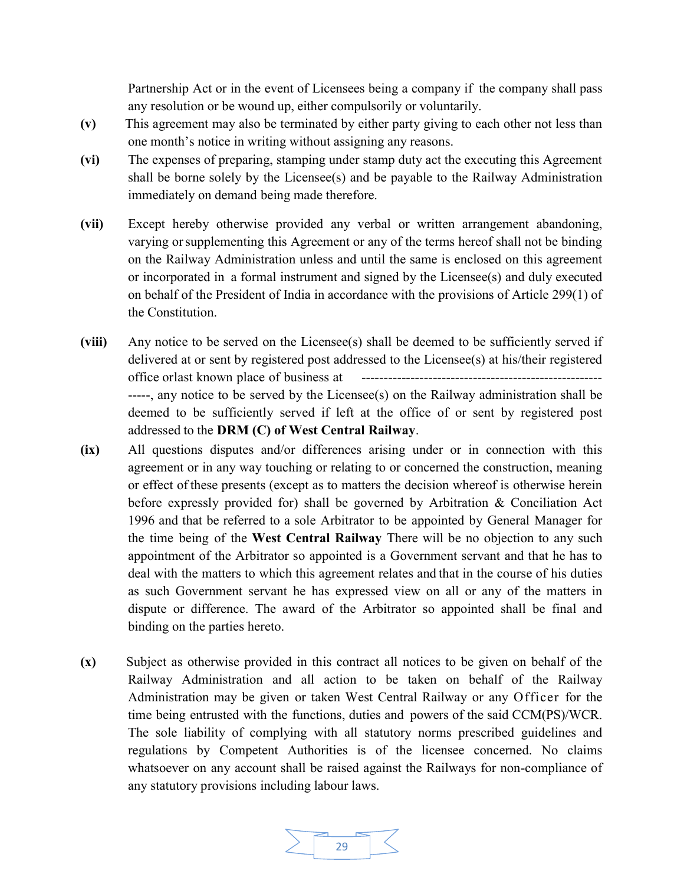Partnership Act or in the event of Licensees being a company if the company shall pass any resolution or be wound up, either compulsorily or voluntarily.

- (v) This agreement may also be terminated by either party giving to each other not less than one month's notice in writing without assigning any reasons.
- (vi) The expenses of preparing, stamping under stamp duty act the executing this Agreement shall be borne solely by the Licensee(s) and be payable to the Railway Administration immediately on demand being made therefore.
- (vii) Except hereby otherwise provided any verbal or written arrangement abandoning, varying or supplementing this Agreement or any of the terms hereof shall not be binding on the Railway Administration unless and until the same is enclosed on this agreement or incorporated in a formal instrument and signed by the Licensee(s) and duly executed on behalf of the President of India in accordance with the provisions of Article 299(1) of the Constitution.
- (viii) Any notice to be served on the Licensee(s) shall be deemed to be sufficiently served if delivered at or sent by registered post addressed to the Licensee(s) at his/their registered office or last known place of business at ------------------------------------------------------ -----, any notice to be served by the Licensee(s) on the Railway administration shall be deemed to be sufficiently served if left at the office of or sent by registered post addressed to the DRM (C) of West Central Railway.
- (ix) All questions disputes and/or differences arising under or in connection with this agreement or in any way touching or relating to or concerned the construction, meaning or effect of these presents (except as to matters the decision whereof is otherwise herein before expressly provided for) shall be governed by Arbitration & Conciliation Act 1996 and that be referred to a sole Arbitrator to be appointed by General Manager for the time being of the West Central Railway There will be no objection to any such appointment of the Arbitrator so appointed is a Government servant and that he has to deal with the matters to which this agreement relates and that in the course of his duties as such Government servant he has expressed view on all or any of the matters in dispute or difference. The award of the Arbitrator so appointed shall be final and binding on the parties hereto.
- (x) Subject as otherwise provided in this contract all notices to be given on behalf of the Railway Administration and all action to be taken on behalf of the Railway Administration may be given or taken West Central Railway or any Officer for the time being entrusted with the functions, duties and powers of the said CCM(PS)/WCR. The sole liability of complying with all statutory norms prescribed guidelines and regulations by Competent Authorities is of the licensee concerned. No claims whatsoever on any account shall be raised against the Railways for non-compliance of any statutory provisions including labour laws.